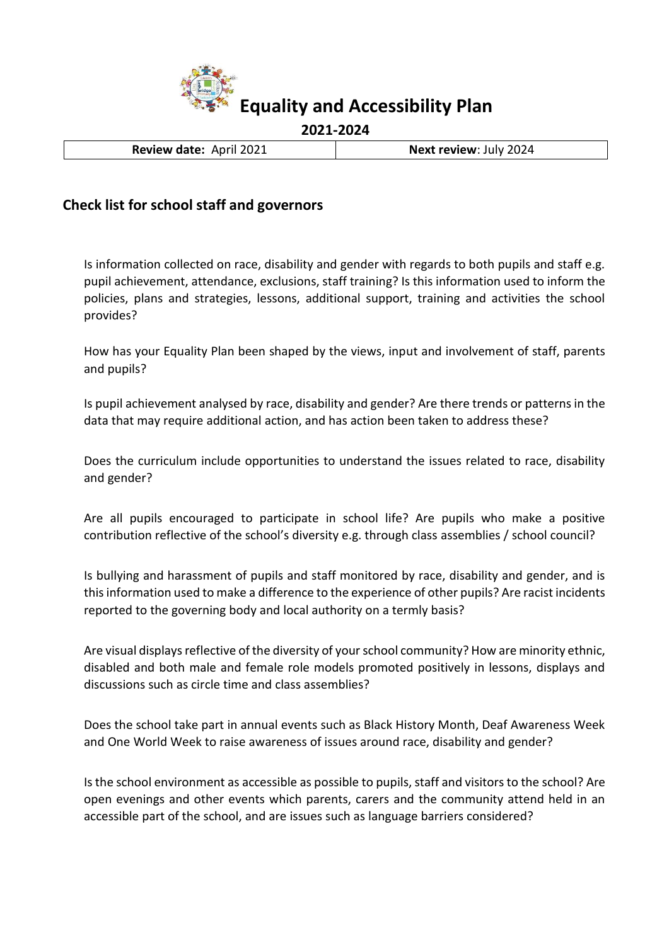

**Review date:** April 2021 **Next review**: July 2024

## **Check list for school staff and governors**

Is information collected on race, disability and gender with regards to both pupils and staff e.g. pupil achievement, attendance, exclusions, staff training? Is this information used to inform the policies, plans and strategies, lessons, additional support, training and activities the school provides?

How has your Equality Plan been shaped by the views, input and involvement of staff, parents and pupils?

Is pupil achievement analysed by race, disability and gender? Are there trends or patterns in the data that may require additional action, and has action been taken to address these?

Does the curriculum include opportunities to understand the issues related to race, disability and gender?

Are all pupils encouraged to participate in school life? Are pupils who make a positive contribution reflective of the school's diversity e.g. through class assemblies / school council?

Is bullying and harassment of pupils and staff monitored by race, disability and gender, and is this information used to make a difference to the experience of other pupils? Are racist incidents reported to the governing body and local authority on a termly basis?

Are visual displays reflective of the diversity of your school community? How are minority ethnic, disabled and both male and female role models promoted positively in lessons, displays and discussions such as circle time and class assemblies?

Does the school take part in annual events such as Black History Month, Deaf Awareness Week and One World Week to raise awareness of issues around race, disability and gender?

Is the school environment as accessible as possible to pupils, staff and visitors to the school? Are open evenings and other events which parents, carers and the community attend held in an accessible part of the school, and are issues such as language barriers considered?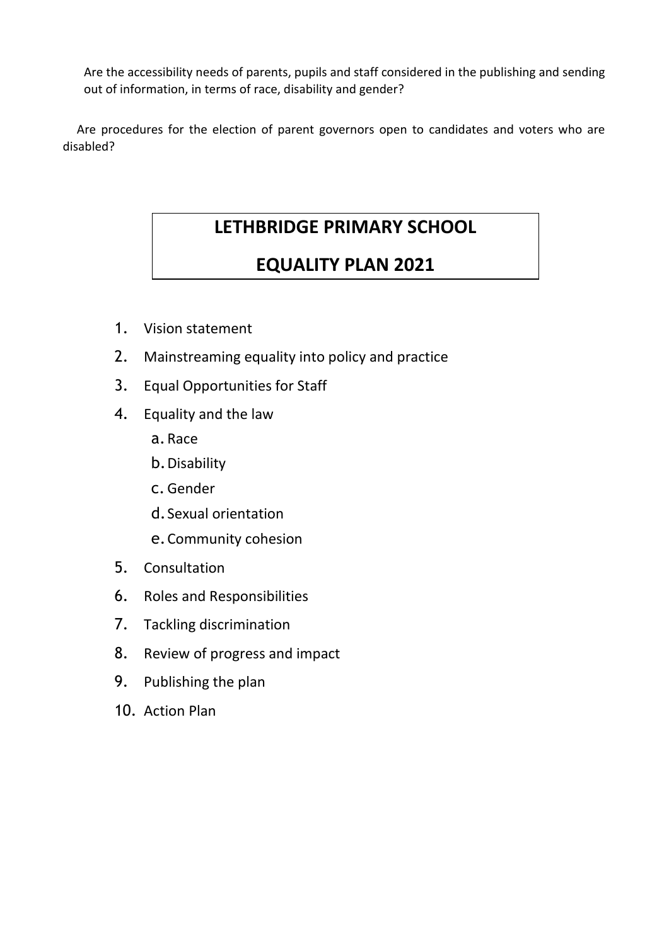Are the accessibility needs of parents, pupils and staff considered in the publishing and sending out of information, in terms of race, disability and gender?

 Are procedures for the election of parent governors open to candidates and voters who are disabled?

# **LETHBRIDGE PRIMARY SCHOOL**

# **EQUALITY PLAN 2021**

- 1. Vision statement
- 2. Mainstreaming equality into policy and practice
- 3. Equal Opportunities for Staff
- 4. Equality and the law
	- a.Race
	- b.Disability
	- c.Gender
	- d.Sexual orientation
	- e.Community cohesion
- 5. Consultation
- 6. Roles and Responsibilities
- 7. Tackling discrimination
- 8. Review of progress and impact
- 9. Publishing the plan
- 10. Action Plan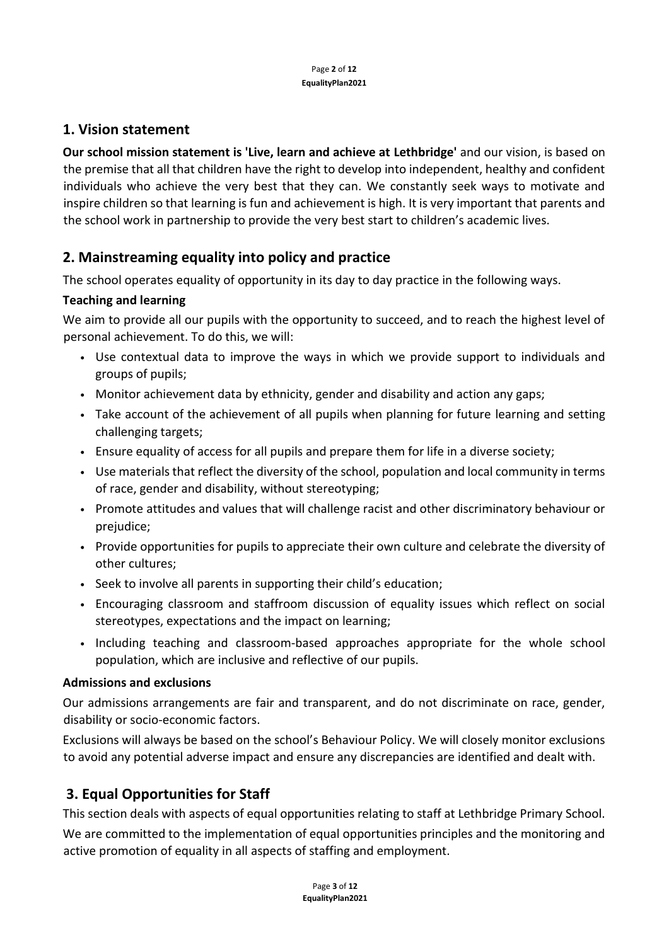## **1. Vision statement**

**Our school mission statement is 'Live, learn and achieve at Lethbridge'** and our vision, is based on the premise that all that children have the right to develop into independent, healthy and confident individuals who achieve the very best that they can. We constantly seek ways to motivate and inspire children so that learning is fun and achievement is high. It is very important that parents and the school work in partnership to provide the very best start to children's academic lives.

# **2. Mainstreaming equality into policy and practice**

The school operates equality of opportunity in its day to day practice in the following ways.

### **Teaching and learning**

We aim to provide all our pupils with the opportunity to succeed, and to reach the highest level of personal achievement. To do this, we will:

- Use contextual data to improve the ways in which we provide support to individuals and groups of pupils;
- Monitor achievement data by ethnicity, gender and disability and action any gaps;
- Take account of the achievement of all pupils when planning for future learning and setting challenging targets;
- Ensure equality of access for all pupils and prepare them for life in a diverse society;
- Use materials that reflect the diversity of the school, population and local community in terms of race, gender and disability, without stereotyping;
- Promote attitudes and values that will challenge racist and other discriminatory behaviour or prejudice;
- Provide opportunities for pupils to appreciate their own culture and celebrate the diversity of other cultures;
- Seek to involve all parents in supporting their child's education;
- Encouraging classroom and staffroom discussion of equality issues which reflect on social stereotypes, expectations and the impact on learning;
- Including teaching and classroom-based approaches appropriate for the whole school population, which are inclusive and reflective of our pupils.

#### **Admissions and exclusions**

Our admissions arrangements are fair and transparent, and do not discriminate on race, gender, disability or socio‐economic factors.

Exclusions will always be based on the school's Behaviour Policy. We will closely monitor exclusions to avoid any potential adverse impact and ensure any discrepancies are identified and dealt with.

# **3. Equal Opportunities for Staff**

This section deals with aspects of equal opportunities relating to staff at Lethbridge Primary School.

We are committed to the implementation of equal opportunities principles and the monitoring and active promotion of equality in all aspects of staffing and employment.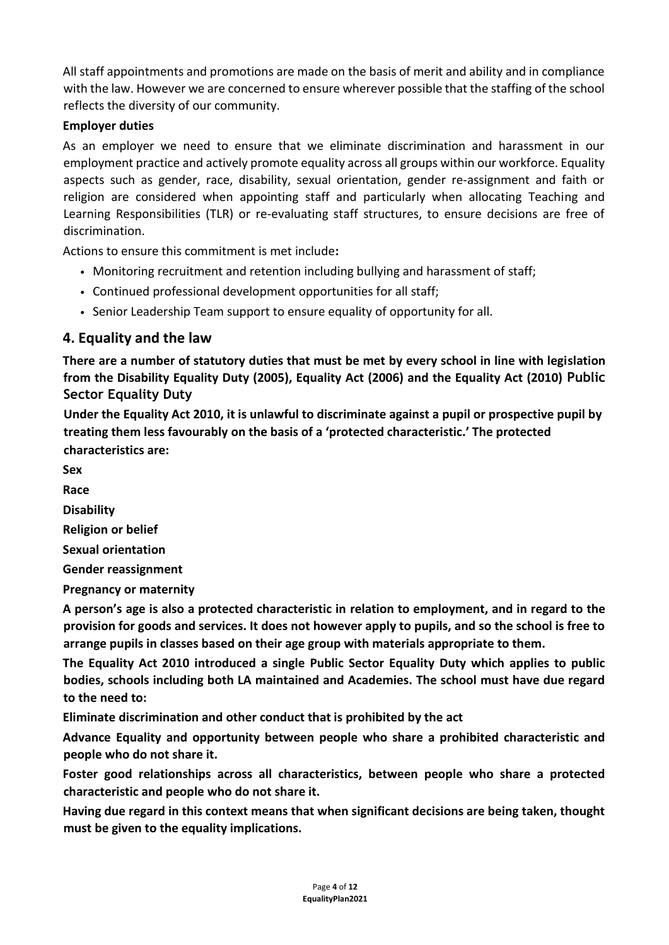All staff appointments and promotions are made on the basis of merit and ability and in compliance with the law. However we are concerned to ensure wherever possible that the staffing of the school reflects the diversity of our community.

## **Employer duties**

As an employer we need to ensure that we eliminate discrimination and harassment in our employment practice and actively promote equality across all groups within our workforce. Equality aspects such as gender, race, disability, sexual orientation, gender re‐assignment and faith or religion are considered when appointing staff and particularly when allocating Teaching and Learning Responsibilities (TLR) or re-evaluating staff structures, to ensure decisions are free of discrimination.

Actions to ensure this commitment is met include**:** 

- Monitoring recruitment and retention including bullying and harassment of staff;
- Continued professional development opportunities for all staff;
- Senior Leadership Team support to ensure equality of opportunity for all.

## **4. Equality and the law**

**There are a number of statutory duties that must be met by every school in line with legislation from the Disability Equality Duty (2005), Equality Act (2006) and the Equality Act (2010) Public Sector Equality Duty**

**Under the Equality Act 2010, it is unlawful to discriminate against a pupil or prospective pupil by treating them less favourably on the basis of a 'protected characteristic.' The protected characteristics are:** 

**Sex** 

**Race** 

**Disability** 

**Religion or belief** 

**Sexual orientation** 

**Gender reassignment** 

**Pregnancy or maternity** 

**A person's age is also a protected characteristic in relation to employment, and in regard to the provision for goods and services. It does not however apply to pupils, and so the school is free to arrange pupils in classes based on their age group with materials appropriate to them.** 

**The Equality Act 2010 introduced a single Public Sector Equality Duty which applies to public bodies, schools including both LA maintained and Academies. The school must have due regard to the need to:** 

**Eliminate discrimination and other conduct that is prohibited by the act** 

**Advance Equality and opportunity between people who share a prohibited characteristic and people who do not share it.** 

**Foster good relationships across all characteristics, between people who share a protected characteristic and people who do not share it.** 

**Having due regard in this context means that when significant decisions are being taken, thought must be given to the equality implications.**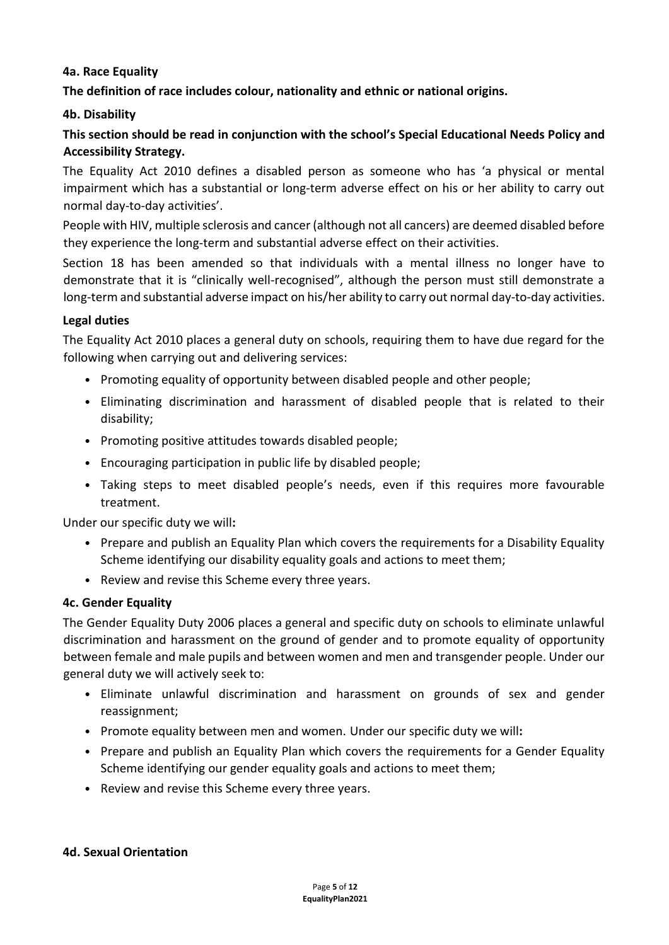#### **4a. Race Equality**

**The definition of race includes colour, nationality and ethnic or national origins.** 

#### **4b. Disability**

## **This section should be read in conjunction with the school's Special Educational Needs Policy and Accessibility Strategy.**

The Equality Act 2010 defines a disabled person as someone who has 'a physical or mental impairment which has a substantial or long-term adverse effect on his or her ability to carry out normal day‐to‐day activities'.

People with HIV, multiple sclerosis and cancer (although not all cancers) are deemed disabled before they experience the long‐term and substantial adverse effect on their activities.

Section 18 has been amended so that individuals with a mental illness no longer have to demonstrate that it is "clinically well‐recognised", although the person must still demonstrate a long-term and substantial adverse impact on his/her ability to carry out normal day-to-day activities.

#### **Legal duties**

The Equality Act 2010 places a general duty on schools, requiring them to have due regard for the following when carrying out and delivering services:

- Promoting equality of opportunity between disabled people and other people;
- Eliminating discrimination and harassment of disabled people that is related to their disability;
- Promoting positive attitudes towards disabled people;
- Encouraging participation in public life by disabled people;
- Taking steps to meet disabled people's needs, even if this requires more favourable treatment.

Under our specific duty we will**:** 

- Prepare and publish an Equality Plan which covers the requirements for a Disability Equality Scheme identifying our disability equality goals and actions to meet them;
- Review and revise this Scheme every three years.

#### **4c. Gender Equality**

The Gender Equality Duty 2006 places a general and specific duty on schools to eliminate unlawful discrimination and harassment on the ground of gender and to promote equality of opportunity between female and male pupils and between women and men and transgender people. Under our general duty we will actively seek to:

- Eliminate unlawful discrimination and harassment on grounds of sex and gender reassignment;
- Promote equality between men and women. Under our specific duty we will**:**
- Prepare and publish an Equality Plan which covers the requirements for a Gender Equality Scheme identifying our gender equality goals and actions to meet them;
- Review and revise this Scheme every three years.

#### **4d. Sexual Orientation**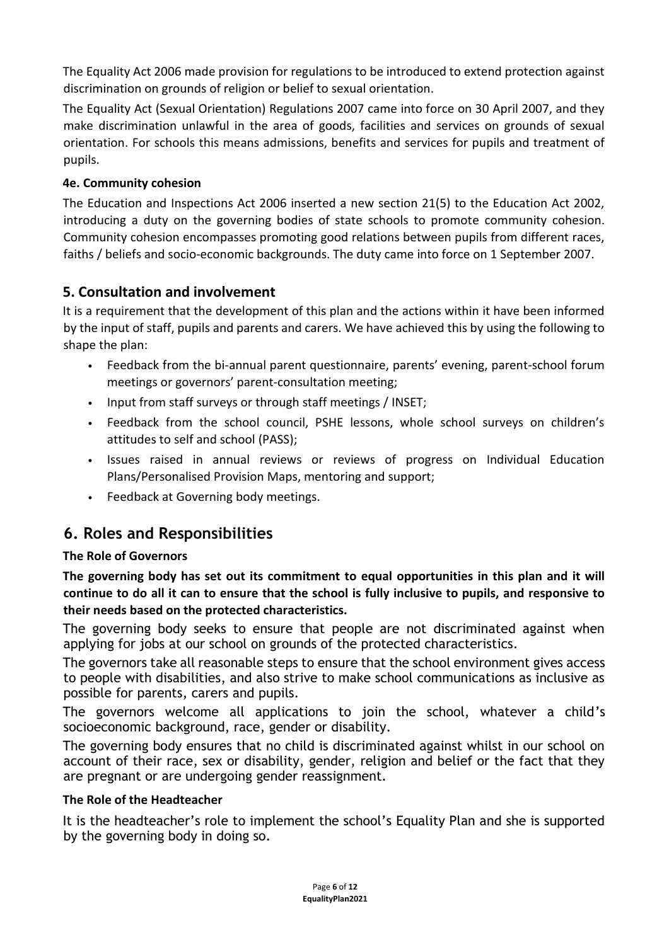The Equality Act 2006 made provision for regulations to be introduced to extend protection against discrimination on grounds of religion or belief to sexual orientation.

The Equality Act (Sexual Orientation) Regulations 2007 came into force on 30 April 2007, and they make discrimination unlawful in the area of goods, facilities and services on grounds of sexual orientation. For schools this means admissions, benefits and services for pupils and treatment of pupils.

## **4e. Community cohesion**

The Education and Inspections Act 2006 inserted a new section 21(5) to the Education Act 2002, introducing a duty on the governing bodies of state schools to promote community cohesion. Community cohesion encompasses promoting good relations between pupils from different races, faiths / beliefs and socio‐economic backgrounds. The duty came into force on 1 September 2007.

## **5. Consultation and involvement**

It is a requirement that the development of this plan and the actions within it have been informed by the input of staff, pupils and parents and carers. We have achieved this by using the following to shape the plan:

- Feedback from the bi-annual parent questionnaire, parents' evening, parent-school forum meetings or governors' parent‐consultation meeting;
- Input from staff surveys or through staff meetings / INSET;
- Feedback from the school council, PSHE lessons, whole school surveys on children's attitudes to self and school (PASS);
- Issues raised in annual reviews or reviews of progress on Individual Education Plans/Personalised Provision Maps, mentoring and support;
- Feedback at Governing body meetings.

# **6. Roles and Responsibilities**

#### **The Role of Governors**

**The governing body has set out its commitment to equal opportunities in this plan and it will continue to do all it can to ensure that the school is fully inclusive to pupils, and responsive to their needs based on the protected characteristics.** 

The governing body seeks to ensure that people are not discriminated against when applying for jobs at our school on grounds of the protected characteristics.

The governors take all reasonable steps to ensure that the school environment gives access to people with disabilities, and also strive to make school communications as inclusive as possible for parents, carers and pupils.

The governors welcome all applications to join the school, whatever a child's socioeconomic background, race, gender or disability.

The governing body ensures that no child is discriminated against whilst in our school on account of their race, sex or disability, gender, religion and belief or the fact that they are pregnant or are undergoing gender reassignment.

#### **The Role of the Headteacher**

It is the headteacher's role to implement the school's Equality Plan and she is supported by the governing body in doing so.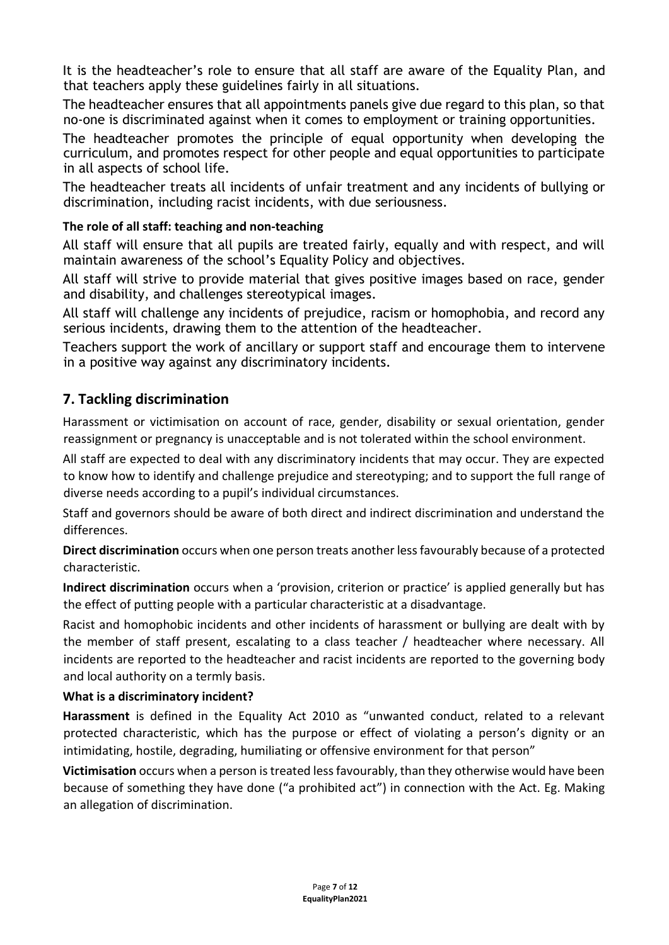It is the headteacher's role to ensure that all staff are aware of the Equality Plan, and that teachers apply these guidelines fairly in all situations.

The headteacher ensures that all appointments panels give due regard to this plan, so that no-one is discriminated against when it comes to employment or training opportunities.

The headteacher promotes the principle of equal opportunity when developing the curriculum, and promotes respect for other people and equal opportunities to participate in all aspects of school life.

The headteacher treats all incidents of unfair treatment and any incidents of bullying or discrimination, including racist incidents, with due seriousness.

### **The role of all staff: teaching and non‐teaching**

All staff will ensure that all pupils are treated fairly, equally and with respect, and will maintain awareness of the school's Equality Policy and objectives.

All staff will strive to provide material that gives positive images based on race, gender and disability, and challenges stereotypical images.

All staff will challenge any incidents of prejudice, racism or homophobia, and record any serious incidents, drawing them to the attention of the headteacher.

Teachers support the work of ancillary or support staff and encourage them to intervene in a positive way against any discriminatory incidents.

## **7. Tackling discrimination**

Harassment or victimisation on account of race, gender, disability or sexual orientation, gender reassignment or pregnancy is unacceptable and is not tolerated within the school environment.

All staff are expected to deal with any discriminatory incidents that may occur. They are expected to know how to identify and challenge prejudice and stereotyping; and to support the full range of diverse needs according to a pupil's individual circumstances.

Staff and governors should be aware of both direct and indirect discrimination and understand the differences.

**Direct discrimination** occurs when one person treats another less favourably because of a protected characteristic.

**Indirect discrimination** occurs when a 'provision, criterion or practice' is applied generally but has the effect of putting people with a particular characteristic at a disadvantage.

Racist and homophobic incidents and other incidents of harassment or bullying are dealt with by the member of staff present, escalating to a class teacher / headteacher where necessary. All incidents are reported to the headteacher and racist incidents are reported to the governing body and local authority on a termly basis.

#### **What is a discriminatory incident?**

**Harassment** is defined in the Equality Act 2010 as "unwanted conduct, related to a relevant protected characteristic, which has the purpose or effect of violating a person's dignity or an intimidating, hostile, degrading, humiliating or offensive environment for that person"

**Victimisation** occurs when a person is treated less favourably, than they otherwise would have been because of something they have done ("a prohibited act") in connection with the Act. Eg. Making an allegation of discrimination.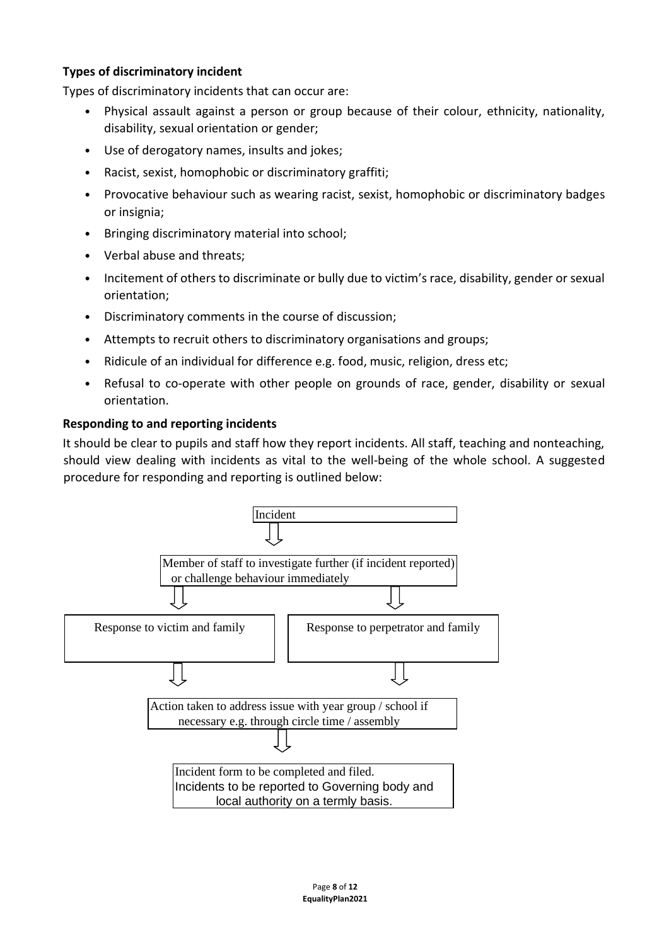### **Types of discriminatory incident**

Types of discriminatory incidents that can occur are:

- Physical assault against a person or group because of their colour, ethnicity, nationality, disability, sexual orientation or gender;
- Use of derogatory names, insults and jokes;
- Racist, sexist, homophobic or discriminatory graffiti;
- Provocative behaviour such as wearing racist, sexist, homophobic or discriminatory badges or insignia;
- Bringing discriminatory material into school;
- Verbal abuse and threats;
- Incitement of others to discriminate or bully due to victim's race, disability, gender or sexual orientation;
- Discriminatory comments in the course of discussion;
- Attempts to recruit others to discriminatory organisations and groups;
- Ridicule of an individual for difference e.g. food, music, religion, dress etc;
- Refusal to co-operate with other people on grounds of race, gender, disability or sexual orientation.

#### **Responding to and reporting incidents**

It should be clear to pupils and staff how they report incidents. All staff, teaching and nonteaching, should view dealing with incidents as vital to the well-being of the whole school. A suggested procedure for responding and reporting is outlined below:

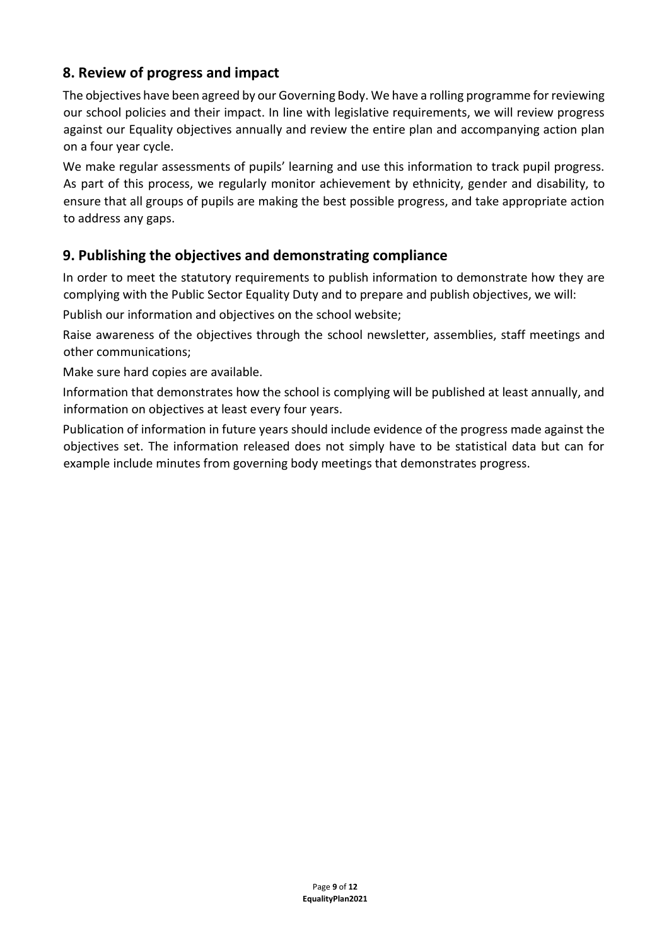# **8. Review of progress and impact**

The objectives have been agreed by our Governing Body. We have a rolling programme for reviewing our school policies and their impact. In line with legislative requirements, we will review progress against our Equality objectives annually and review the entire plan and accompanying action plan on a four year cycle.

We make regular assessments of pupils' learning and use this information to track pupil progress. As part of this process, we regularly monitor achievement by ethnicity, gender and disability, to ensure that all groups of pupils are making the best possible progress, and take appropriate action to address any gaps.

# **9. Publishing the objectives and demonstrating compliance**

In order to meet the statutory requirements to publish information to demonstrate how they are complying with the Public Sector Equality Duty and to prepare and publish objectives, we will:

Publish our information and objectives on the school website;

Raise awareness of the objectives through the school newsletter, assemblies, staff meetings and other communications;

Make sure hard copies are available.

Information that demonstrates how the school is complying will be published at least annually, and information on objectives at least every four years.

Publication of information in future years should include evidence of the progress made against the objectives set. The information released does not simply have to be statistical data but can for example include minutes from governing body meetings that demonstrates progress.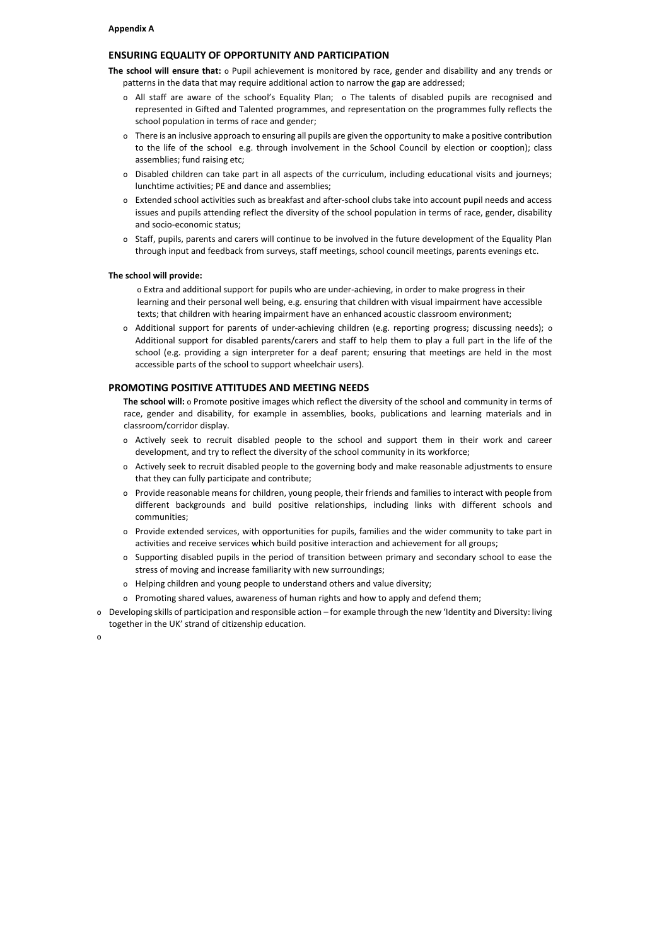#### **ENSURING EQUALITY OF OPPORTUNITY AND PARTICIPATION**

**The school will ensure that:** o Pupil achievement is monitored by race, gender and disability and any trends or patterns in the data that may require additional action to narrow the gap are addressed;

- o All staff are aware of the school's Equality Plan; o The talents of disabled pupils are recognised and represented in Gifted and Talented programmes, and representation on the programmes fully reflects the school population in terms of race and gender;
- o There is an inclusive approach to ensuring all pupils are given the opportunity to make a positive contribution to the life of the school e.g. through involvement in the School Council by election or cooption); class assemblies; fund raising etc;
- o Disabled children can take part in all aspects of the curriculum, including educational visits and journeys; lunchtime activities; PE and dance and assemblies;
- o Extended school activities such as breakfast and after‐school clubs take into account pupil needs and access issues and pupils attending reflect the diversity of the school population in terms of race, gender, disability and socio‐economic status;
- o Staff, pupils, parents and carers will continue to be involved in the future development of the Equality Plan through input and feedback from surveys, staff meetings, school council meetings, parents evenings etc.

#### **The school will provide:**

o Extra and additional support for pupils who are under‐achieving, in order to make progress in their learning and their personal well being, e.g. ensuring that children with visual impairment have accessible texts; that children with hearing impairment have an enhanced acoustic classroom environment;

o Additional support for parents of under‐achieving children (e.g. reporting progress; discussing needs); o Additional support for disabled parents/carers and staff to help them to play a full part in the life of the school (e.g. providing a sign interpreter for a deaf parent; ensuring that meetings are held in the most accessible parts of the school to support wheelchair users).

#### **PROMOTING POSITIVE ATTITUDES AND MEETING NEEDS**

**The school will:** o Promote positive images which reflect the diversity of the school and community in terms of race, gender and disability, for example in assemblies, books, publications and learning materials and in classroom/corridor display.

- o Actively seek to recruit disabled people to the school and support them in their work and career development, and try to reflect the diversity of the school community in its workforce;
- o Actively seek to recruit disabled people to the governing body and make reasonable adjustments to ensure that they can fully participate and contribute;
- o Provide reasonable means for children, young people, their friends and families to interact with people from different backgrounds and build positive relationships, including links with different schools and communities;
- o Provide extended services, with opportunities for pupils, families and the wider community to take part in activities and receive services which build positive interaction and achievement for all groups;
- o Supporting disabled pupils in the period of transition between primary and secondary school to ease the stress of moving and increase familiarity with new surroundings;
- o Helping children and young people to understand others and value diversity;
- o Promoting shared values, awareness of human rights and how to apply and defend them;
- o Developing skills of participation and responsible action for example through the new 'Identity and Diversity: living together in the UK' strand of citizenship education.

o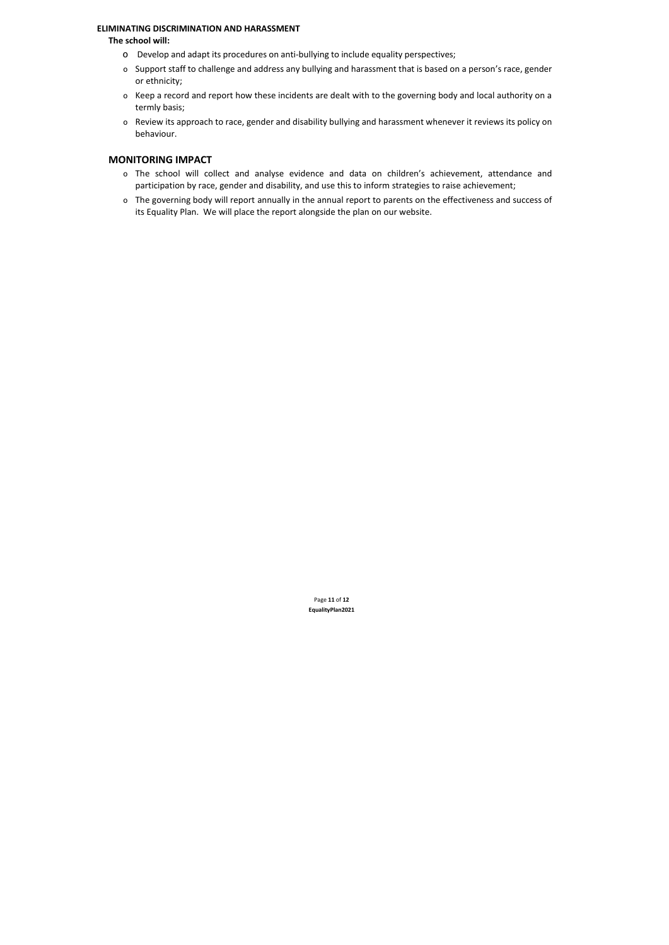#### **ELIMINATING DISCRIMINATION AND HARASSMENT**

#### **The school will:**

- o Develop and adapt its procedures on anti‐bullying to include equality perspectives;
- o Support staff to challenge and address any bullying and harassment that is based on a person's race, gender or ethnicity;
- o Keep a record and report how these incidents are dealt with to the governing body and local authority on a termly basis;
- o Review its approach to race, gender and disability bullying and harassment whenever it reviews its policy on behaviour.

## **MONITORING IMPACT**

- o The school will collect and analyse evidence and data on children's achievement, attendance and participation by race, gender and disability, and use this to inform strategies to raise achievement;
- o The governing body will report annually in the annual report to parents on the effectiveness and success of its Equality Plan. We will place the report alongside the plan on our website.

Page **11** of **12 EqualityPlan2021**